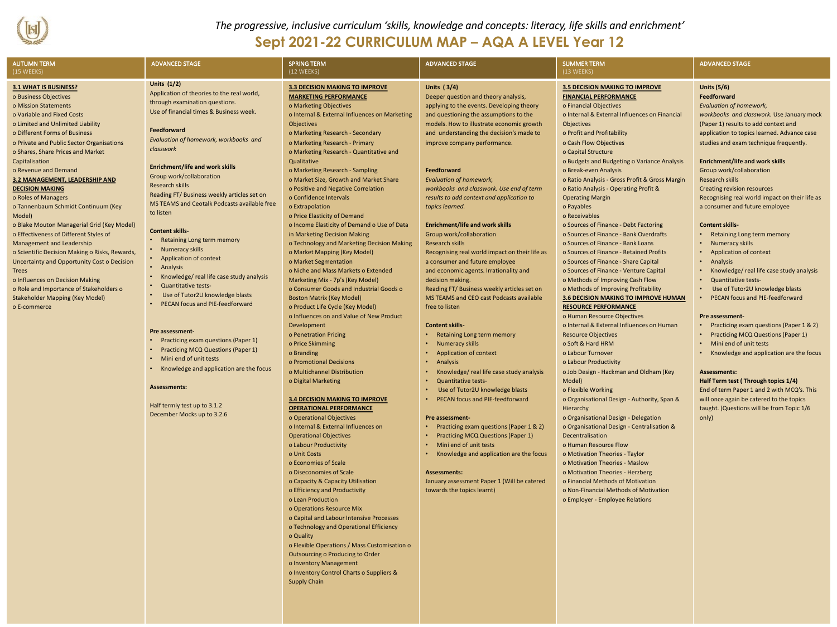

*The progressive, inclusive curriculum 'skills, knowledge and concepts: literacy, life skills and enrichment'*

## **Sept 2021-22 CURRICULUM MAP – AQA A LEVEL Year 12**

| <b>AUTUMN TERM</b>                                                                                                                                                                                                                                                                                                                                                                                                                                                                                                                                                                                                                                                                                                                                                                                                              | <b>ADVANCED STAGE</b>                                                                                                                                                                                                                                                                                                                                                                                                                                                                                                                                                                                                                                                                                                                                                                                                                                                                                                                                                | <b>SPRING TERM</b>                                                                                                                                                                                                                                                                                                                                                                                                                                                                                                                                                                                                                                                                                                                                                                                                                                                                                                                                                                                                                                                                                                                                                                                                                                                                                                                                                                                                                                                                                                                                                                                                                                                                                                                                          | <b>ADVANCED STAGE</b>                                                                                                                                                                                                                                                                                                                                                                                                                                                                                                                                                                                                                                                                                                                                                                                                                                                                                                                                                                                                                                                                                                                                                                                                                                                                                                                                                        | <b>SUMMER TERM</b>                                                                                                                                                                                                                                                                                                                                                                                                                                                                                                                                                                                                                                                                                                                                                                                                                                                                                                                                                                                                                                                                                                                                                                                                                                                                                                                                                                                                                                                                                                                                                       | <b>ADVANCED STAGE</b>                                                                                                                                                                                                                                                                                                                                                                                                                                                                                                                                                                                                                                                                                                                                                                                                                                                                                                                                                                                                                                                                                                               |
|---------------------------------------------------------------------------------------------------------------------------------------------------------------------------------------------------------------------------------------------------------------------------------------------------------------------------------------------------------------------------------------------------------------------------------------------------------------------------------------------------------------------------------------------------------------------------------------------------------------------------------------------------------------------------------------------------------------------------------------------------------------------------------------------------------------------------------|----------------------------------------------------------------------------------------------------------------------------------------------------------------------------------------------------------------------------------------------------------------------------------------------------------------------------------------------------------------------------------------------------------------------------------------------------------------------------------------------------------------------------------------------------------------------------------------------------------------------------------------------------------------------------------------------------------------------------------------------------------------------------------------------------------------------------------------------------------------------------------------------------------------------------------------------------------------------|-------------------------------------------------------------------------------------------------------------------------------------------------------------------------------------------------------------------------------------------------------------------------------------------------------------------------------------------------------------------------------------------------------------------------------------------------------------------------------------------------------------------------------------------------------------------------------------------------------------------------------------------------------------------------------------------------------------------------------------------------------------------------------------------------------------------------------------------------------------------------------------------------------------------------------------------------------------------------------------------------------------------------------------------------------------------------------------------------------------------------------------------------------------------------------------------------------------------------------------------------------------------------------------------------------------------------------------------------------------------------------------------------------------------------------------------------------------------------------------------------------------------------------------------------------------------------------------------------------------------------------------------------------------------------------------------------------------------------------------------------------------|------------------------------------------------------------------------------------------------------------------------------------------------------------------------------------------------------------------------------------------------------------------------------------------------------------------------------------------------------------------------------------------------------------------------------------------------------------------------------------------------------------------------------------------------------------------------------------------------------------------------------------------------------------------------------------------------------------------------------------------------------------------------------------------------------------------------------------------------------------------------------------------------------------------------------------------------------------------------------------------------------------------------------------------------------------------------------------------------------------------------------------------------------------------------------------------------------------------------------------------------------------------------------------------------------------------------------------------------------------------------------|--------------------------------------------------------------------------------------------------------------------------------------------------------------------------------------------------------------------------------------------------------------------------------------------------------------------------------------------------------------------------------------------------------------------------------------------------------------------------------------------------------------------------------------------------------------------------------------------------------------------------------------------------------------------------------------------------------------------------------------------------------------------------------------------------------------------------------------------------------------------------------------------------------------------------------------------------------------------------------------------------------------------------------------------------------------------------------------------------------------------------------------------------------------------------------------------------------------------------------------------------------------------------------------------------------------------------------------------------------------------------------------------------------------------------------------------------------------------------------------------------------------------------------------------------------------------------|-------------------------------------------------------------------------------------------------------------------------------------------------------------------------------------------------------------------------------------------------------------------------------------------------------------------------------------------------------------------------------------------------------------------------------------------------------------------------------------------------------------------------------------------------------------------------------------------------------------------------------------------------------------------------------------------------------------------------------------------------------------------------------------------------------------------------------------------------------------------------------------------------------------------------------------------------------------------------------------------------------------------------------------------------------------------------------------------------------------------------------------|
| (15 WEEKS)                                                                                                                                                                                                                                                                                                                                                                                                                                                                                                                                                                                                                                                                                                                                                                                                                      |                                                                                                                                                                                                                                                                                                                                                                                                                                                                                                                                                                                                                                                                                                                                                                                                                                                                                                                                                                      | (12 WEEKS)                                                                                                                                                                                                                                                                                                                                                                                                                                                                                                                                                                                                                                                                                                                                                                                                                                                                                                                                                                                                                                                                                                                                                                                                                                                                                                                                                                                                                                                                                                                                                                                                                                                                                                                                                  |                                                                                                                                                                                                                                                                                                                                                                                                                                                                                                                                                                                                                                                                                                                                                                                                                                                                                                                                                                                                                                                                                                                                                                                                                                                                                                                                                                              | (13 WEEKS)                                                                                                                                                                                                                                                                                                                                                                                                                                                                                                                                                                                                                                                                                                                                                                                                                                                                                                                                                                                                                                                                                                                                                                                                                                                                                                                                                                                                                                                                                                                                                               |                                                                                                                                                                                                                                                                                                                                                                                                                                                                                                                                                                                                                                                                                                                                                                                                                                                                                                                                                                                                                                                                                                                                     |
| 3.1 WHAT IS BUSINESS?<br>o Business Objectives<br>o Mission Statements<br>o Variable and Fixed Costs<br>o Limited and Unlimited Liability<br>o Different Forms of Business<br>o Private and Public Sector Organisations<br>o Shares, Share Prices and Market<br>Capitalisation<br>o Revenue and Demand<br>3.2 MANAGEMENT, LEADERSHIP AND<br><b>DECISION MAKING</b><br>o Roles of Managers<br>o Tannenbaum Schmidt Continuum (Key<br>Model)<br>o Blake Mouton Managerial Grid (Key Model)<br>o Effectiveness of Different Styles of<br><b>Management and Leadership</b><br>o Scientific Decision Making o Risks, Rewards,<br>Uncertainty and Opportunity Cost o Decision<br><b>Trees</b><br>o Influences on Decision Making<br>o Role and Importance of Stakeholders o<br><b>Stakeholder Mapping (Key Model)</b><br>o E-commerce | Units $(1/2)$<br>Application of theories to the real world,<br>through examination questions.<br>Use of financial times & Business week.<br>Feedforward<br>Evaluation of homework, workbooks and<br>classwork<br><b>Enrichment/life and work skills</b><br>Group work/collaboration<br><b>Research skills</b><br>Reading FT/ Business weekly articles set on<br>MS TEAMS and Ceotalk Podcasts available free<br>to listen<br><b>Content skills-</b><br>• Retaining Long term memory<br>• Numeracy skills<br>• Application of context<br>• Analysis<br>Knowledge/ real life case study analysis<br><b>Quantitative tests-</b><br>Use of Tutor2U knowledge blasts<br>PECAN focus and PIE-feedforward<br>Pre assessment-<br>• Practicing exam questions (Paper 1)<br>• Practicing MCQ Questions (Paper 1)<br>• Mini end of unit tests<br>• Knowledge and application are the focus<br><b>Assessments:</b><br>Half termly test up to 3.1.2<br>December Mocks up to 3.2.6 | <b>3.3 DECISION MAKING TO IMPROVE</b><br><b>MARKETING PERFORMANCE</b><br>o Marketing Objectives<br>o Internal & External Influences on Marketing<br>Objectives<br>o Marketing Research - Secondary<br>o Marketing Research - Primary<br>o Marketing Research - Quantitative and<br>Qualitative<br>o Marketing Research - Sampling<br>o Market Size, Growth and Market Share<br>o Positive and Negative Correlation<br>o Confidence Intervals<br>o Extrapolation<br>o Price Elasticity of Demand<br>o Income Elasticity of Demand o Use of Data<br>in Marketing Decision Making<br>o Technology and Marketing Decision Making<br>o Market Mapping (Key Model)<br>o Market Segmentation<br>o Niche and Mass Markets o Extended<br>Marketing Mix - 7p's (Key Model)<br>o Consumer Goods and Industrial Goods o<br><b>Boston Matrix (Key Model)</b><br>o Product Life Cycle (Key Model)<br>o Influences on and Value of New Product<br>Development<br>o Penetration Pricing<br>o Price Skimming<br>o Branding<br>o Promotional Decisions<br>o Multichannel Distribution<br>o Digital Marketing<br><b>3.4 DECISION MAKING TO IMPROVE</b><br><b>OPERATIONAL PERFORMANCE</b><br>o Operational Objectives<br>o Internal & External Influences on<br><b>Operational Objectives</b><br>o Labour Productivity<br>o Unit Costs<br>o Economies of Scale<br>o Diseconomies of Scale<br>o Capacity & Capacity Utilisation<br>o Efficiency and Productivity<br>o Lean Production<br>o Operations Resource Mix<br>o Capital and Labour Intensive Processes<br>o Technology and Operational Efficiency<br>o Quality<br>o Flexible Operations / Mass Customisation o<br>Outsourcing o Producing to Order<br>o Inventory Management<br>o Inventory Control Charts o Suppliers & | <b>Units (3/4)</b><br>Deeper question and theory analysis,<br>applying to the events. Developing theory<br>and questioning the assumptions to the<br>models. How to illustrate economic growth<br>and understanding the decision's made to<br>improve company performance.<br>Feedforward<br><b>Evaluation of homework,</b><br>workbooks and classwork. Use end of term<br>results to add context and application to<br>topics learned.<br><b>Enrichment/life and work skills</b><br>Group work/collaboration<br><b>Research skills</b><br>Recognising real world impact on their life as<br>a consumer and future employee<br>and economic agents. Irrationality and<br>decision making.<br>Reading FT/ Business weekly articles set on<br>MS TEAMS and CEO cast Podcasts available<br>free to listen<br><b>Content skills-</b><br>• Retaining Long term memory<br>• Numeracy skills<br><b>Application of context</b><br>Analysis<br>Knowledge/ real life case study analysis<br><b>Quantitative tests-</b><br>Use of Tutor2U knowledge blasts<br>PECAN focus and PIE-feedforward<br>Pre assessment-<br>• Practicing exam questions (Paper 1 & 2)<br><b>Practicing MCQ Questions (Paper 1)</b><br>• Mini end of unit tests<br>• Knowledge and application are the focus<br><b>Assessments:</b><br>January assessment Paper 1 (Will be catered<br>towards the topics learnt) | <b>3.5 DECISION MAKING TO IMPROVE</b><br><b>FINANCIAL PERFORMANCE</b><br>o Financial Objectives<br>o Internal & External Influences on Financial<br><b>Objectives</b><br>o Profit and Profitability<br>o Cash Flow Objectives<br>o Capital Structure<br>o Budgets and Budgeting o Variance Analysis<br>o Break-even Analysis<br>o Ratio Analysis - Gross Profit & Gross Margin<br>o Ratio Analysis - Operating Profit &<br><b>Operating Margin</b><br>o Payables<br>o Receivables<br>o Sources of Finance - Debt Factoring<br>o Sources of Finance - Bank Overdrafts<br>o Sources of Finance - Bank Loans<br>o Sources of Finance - Retained Profits<br>o Sources of Finance - Share Capital<br>o Sources of Finance - Venture Capital<br>o Methods of Improving Cash Flow<br>o Methods of Improving Profitability<br>3.6 DECISION MAKING TO IMPROVE HUMAN<br><b>RESOURCE PERFORMANCE</b><br>o Human Resource Objectives<br>o Internal & External Influences on Human<br><b>Resource Objectives</b><br>o Soft & Hard HRM<br>o Labour Turnover<br>o Labour Productivity<br>o Job Design - Hackman and Oldham (Key<br>Model)<br>o Flexible Working<br>o Organisational Design - Authority, Span &<br>Hierarchy<br>o Organisational Design - Delegation<br>o Organisational Design - Centralisation &<br>Decentralisation<br>o Human Resource Flow<br>o Motivation Theories - Taylor<br>o Motivation Theories - Maslow<br>o Motivation Theories - Herzberg<br>o Financial Methods of Motivation<br>o Non-Financial Methods of Motivation<br>o Employer - Employee Relations | <b>Units (5/6)</b><br>Feedforward<br><b>Evaluation of homework,</b><br>workbooks and classwork. Use January mock<br>(Paper 1) results to add context and<br>application to topics learned. Advance case<br>studies and exam technique frequently.<br><b>Enrichment/life and work skills</b><br>Group work/collaboration<br>Research skills<br>Creating revision resources<br>Recognising real world impact on their life as<br>a consumer and future employee<br><b>Content skills-</b><br>Retaining Long term memory<br>Numeracy skills<br><b>Application of context</b><br>Analysis<br>Knowledge/ real life case study analysis<br><b>Quantitative tests-</b><br>Use of Tutor2U knowledge blasts<br>PECAN focus and PIE-feedforward<br>Pre assessment-<br>Practicing exam questions (Paper 1 & 2)<br><b>Practicing MCQ Questions (Paper 1)</b><br>Mini end of unit tests<br>Knowledge and application are the focus<br><b>Assessments:</b><br>Half Term test (Through topics 1/4)<br>End of term Paper 1 and 2 with MCQ's. This<br>will once again be catered to the topics<br>taught. (Questions will be from Topic 1/6<br>only) |

Supply Chain